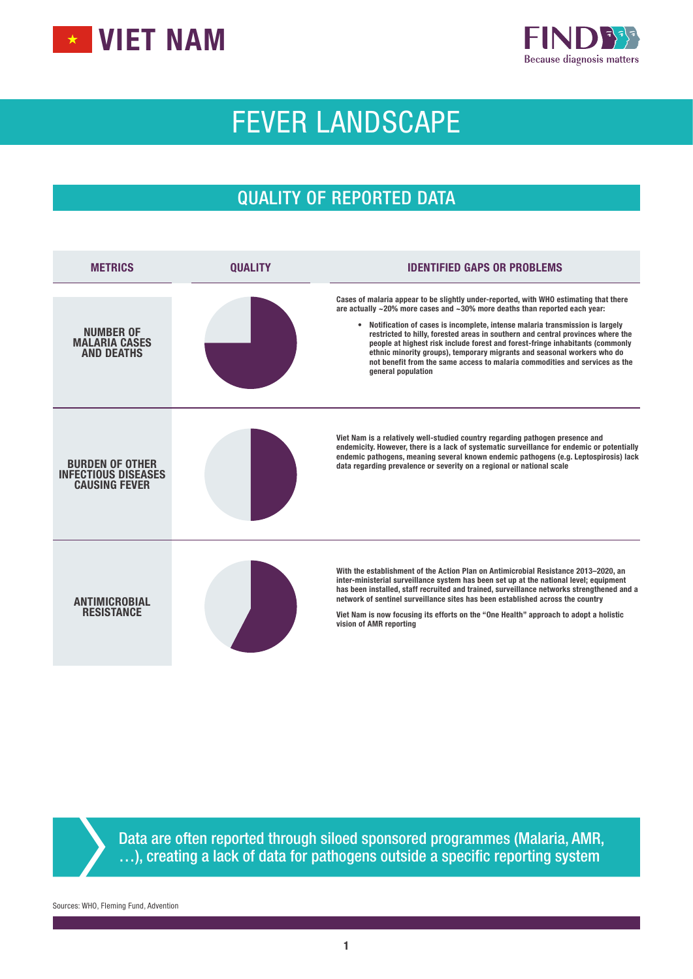



# FEVER LANDSCAPE

# QUALITY OF REPORTED DATA

| <b>METRICS</b>                                                               | <b>OUALITY</b> | <b>IDENTIFIED GAPS OR PROBLEMS</b>                                                                                                                                                                                                                                                                                                                                                                                                                                                                                                                                                                                    |
|------------------------------------------------------------------------------|----------------|-----------------------------------------------------------------------------------------------------------------------------------------------------------------------------------------------------------------------------------------------------------------------------------------------------------------------------------------------------------------------------------------------------------------------------------------------------------------------------------------------------------------------------------------------------------------------------------------------------------------------|
| NUMBER OF<br><b>MALARIA CASES</b><br><b>AND DEATHS</b>                       |                | Cases of malaria appear to be slightly under-reported, with WHO estimating that there<br>are actually $\sim$ 20% more cases and $\sim$ 30% more deaths than reported each year:<br>• Notification of cases is incomplete, intense malaria transmission is largely<br>restricted to hilly, forested areas in southern and central provinces where the<br>people at highest risk include forest and forest-fringe inhabitants (commonly<br>ethnic minority groups), temporary migrants and seasonal workers who do<br>not benefit from the same access to malaria commodities and services as the<br>general population |
| <b>BURDEN OF OTHER</b><br><b>INFECTIOUS DISEASES</b><br><b>CAUSING FEVER</b> |                | Viet Nam is a relatively well-studied country regarding pathogen presence and<br>endemicity. However, there is a lack of systematic surveillance for endemic or potentially<br>endemic pathogens, meaning several known endemic pathogens (e.g. Leptospirosis) lack<br>data regarding prevalence or severity on a regional or national scale                                                                                                                                                                                                                                                                          |
| <b>ANTIMICROBIAL</b><br><b>RESISTANCE</b>                                    |                | With the establishment of the Action Plan on Antimicrobial Resistance 2013-2020, an<br>inter-ministerial surveillance system has been set up at the national level; equipment<br>has been installed, staff recruited and trained, surveillance networks strengthened and a<br>network of sentinel surveillance sites has been established across the country<br>Viet Nam is now focusing its efforts on the "One Health" approach to adopt a holistic<br>vision of AMR reporting                                                                                                                                      |

Data are often reported through siloed sponsored programmes (Malaria, AMR, …), creating a lack of data for pathogens outside a specific reporting system

Sources: WHO, Fleming Fund, Advention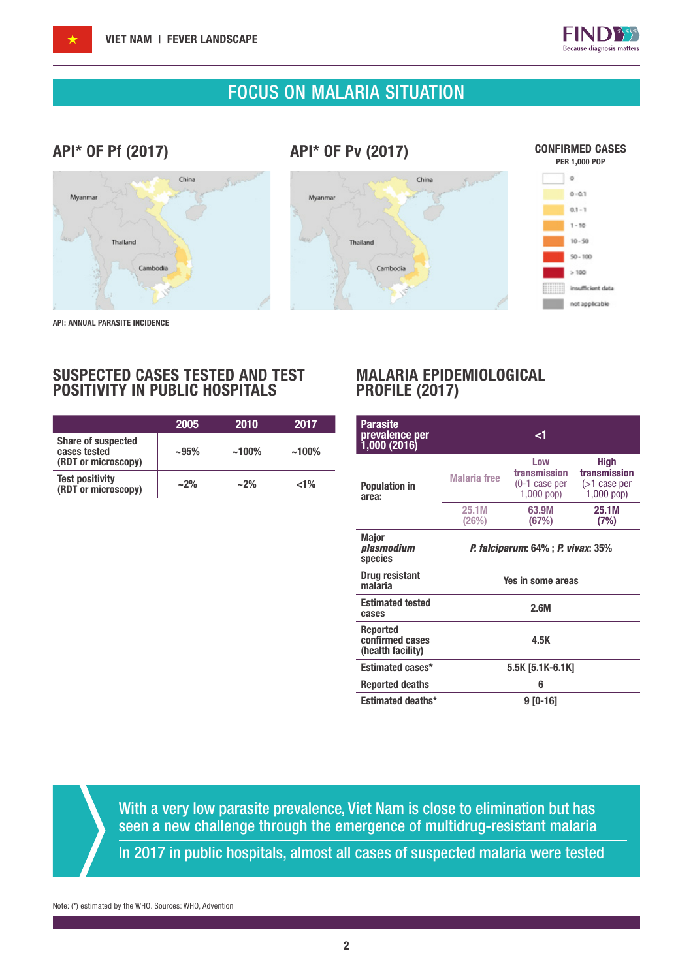

## FOCUS ON MALARIA SITUATION

## API\* OF Pf (2017)

API\* OF Pv (2017)







API: ANNUAL PARASITE INCIDENCE

### SUSPECTED CASES TESTED AND TEST POSITIVITY IN PUBLIC HOSPITALS

|                                                                  | 2005   | 2010     | 2017     |
|------------------------------------------------------------------|--------|----------|----------|
| <b>Share of suspected</b><br>cases tested<br>(RDT or microscopy) | $-95%$ | $~100\%$ | $~100\%$ |
| <b>Test positivity</b><br>(RDT or microscopy)                    | $~2\%$ | $~2\%$   | $1\%$    |

### MALARIA EPIDEMIOLOGICAL PROFILE (2017)

| <b>Parasite</b><br>prevalence per<br>1,000 (2016)       |                                           | ا>                                                      |                                                                |
|---------------------------------------------------------|-------------------------------------------|---------------------------------------------------------|----------------------------------------------------------------|
| <b>Population in</b><br>area:                           | <b>Malaria</b> free                       | Low<br>transmission<br>$(0-1)$ case per<br>$1,000$ pop) | <b>High</b><br>transmission<br>$($ >1 case per<br>$1,000$ pop) |
|                                                         | 25.1M<br>(26%)                            | 63.9M<br>(67%)                                          | 25.1M<br>(7%)                                                  |
| <b>Major</b><br>plasmodium<br>species                   | <b>P. falciparum: 64% ; P. vivax: 35%</b> |                                                         |                                                                |
| Drug resistant<br>malaria                               | Yes in some areas                         |                                                         |                                                                |
| <b>Estimated tested</b><br>cases                        |                                           | 2.6M                                                    |                                                                |
| <b>Reported</b><br>confirmed cases<br>(health facility) | 4.5K                                      |                                                         |                                                                |
| <b>Estimated cases*</b>                                 | 5.5K [5.1K-6.1K]                          |                                                         |                                                                |
| <b>Reported deaths</b>                                  |                                           | 6                                                       |                                                                |
| <b>Estimated deaths*</b>                                |                                           | 9 [0-16]                                                |                                                                |

With a very low parasite prevalence, Viet Nam is close to elimination but has seen a new challenge through the emergence of multidrug-resistant malaria

In 2017 in public hospitals, almost all cases of suspected malaria were tested

Note: (\*) estimated by the WHO. Sources: WHO, Advention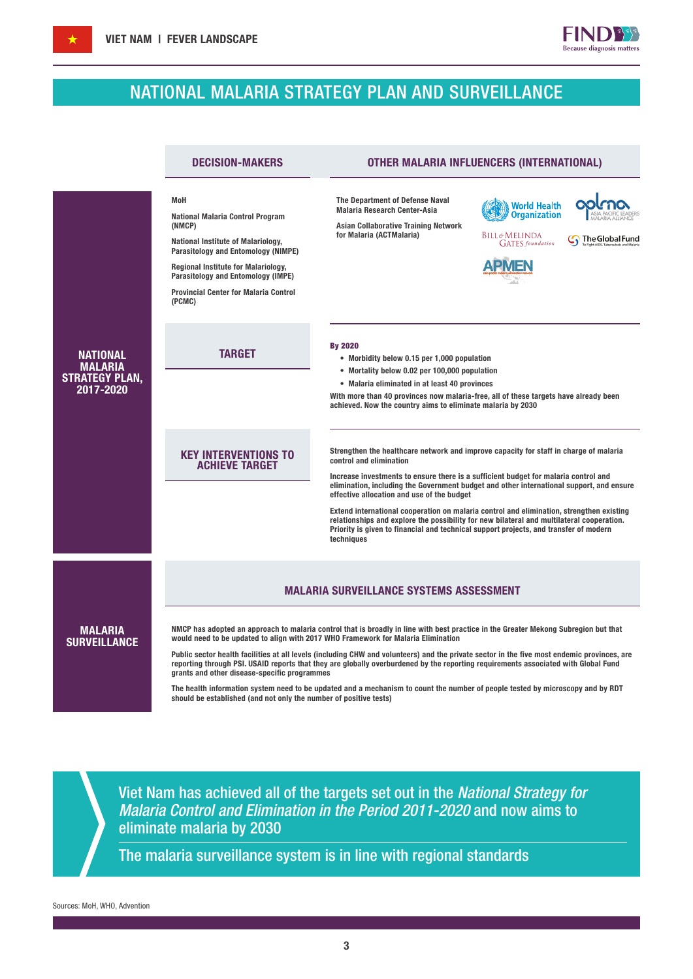# NATIONAL MALARIA STRATEGY PLAN AND SURVEILLANCE

**FINDB** Because diagnosis matters

|                                                                  | <b>DECISION-MAKERS</b>                                                                                                                                                                                                                                                                            | OTHER MALARIA INFLUENCERS (INTERNATIONAL)                                                                                                                                                                                                                                                                                                                                                                                                                                                                                                                                                                                                         |  |  |  |
|------------------------------------------------------------------|---------------------------------------------------------------------------------------------------------------------------------------------------------------------------------------------------------------------------------------------------------------------------------------------------|---------------------------------------------------------------------------------------------------------------------------------------------------------------------------------------------------------------------------------------------------------------------------------------------------------------------------------------------------------------------------------------------------------------------------------------------------------------------------------------------------------------------------------------------------------------------------------------------------------------------------------------------------|--|--|--|
|                                                                  | <b>MoH</b><br><b>National Malaria Control Program</b><br>(NMCP)<br><b>National Institute of Malariology,</b><br>Parasitology and Entomology (NIMPE)<br><b>Regional Institute for Malariology,</b><br>Parasitology and Entomology (IMPE)<br><b>Provincial Center for Malaria Control</b><br>(PCMC) | The Department of Defense Naval<br><b>World Health</b><br><b>Malaria Research Center-Asia</b><br><b>Organization</b><br><b>Asian Collaborative Training Network</b><br>for Malaria (ACTMalaria)<br>Bill&Melinda<br>The Global Fund<br><b>GATES</b> foundation                                                                                                                                                                                                                                                                                                                                                                                     |  |  |  |
| NATIONAL<br><b>MALARIA</b><br><b>STRATEGY PLAN,</b><br>2017-2020 | <b>TARGET</b>                                                                                                                                                                                                                                                                                     | <b>By 2020</b><br>• Morbidity below 0.15 per 1,000 population<br>• Mortality below 0.02 per 100,000 population<br>• Malaria eliminated in at least 40 provinces<br>With more than 40 provinces now malaria-free, all of these targets have already been<br>achieved. Now the country aims to eliminate malaria by 2030                                                                                                                                                                                                                                                                                                                            |  |  |  |
|                                                                  | <b>KEY INTERVENTIONS TO</b><br><b>ACHIEVE TARGET</b>                                                                                                                                                                                                                                              | Strengthen the healthcare network and improve capacity for staff in charge of malaria<br>control and elimination<br>Increase investments to ensure there is a sufficient budget for malaria control and<br>elimination, including the Government budget and other international support, and ensure<br>effective allocation and use of the budget<br>Extend international cooperation on malaria control and elimination, strengthen existing<br>relationships and explore the possibility for new bilateral and multilateral cooperation.<br>Priority is given to financial and technical support projects, and transfer of modern<br>techniques |  |  |  |
|                                                                  |                                                                                                                                                                                                                                                                                                   | <b>MALARIA SURVEILLANCE SYSTEMS ASSESSMENT</b>                                                                                                                                                                                                                                                                                                                                                                                                                                                                                                                                                                                                    |  |  |  |
| <b>MALARIA</b><br><b>SURVEILLANCE</b>                            | grants and other disease-specific programmes<br>should be established (and not only the number of positive tests)                                                                                                                                                                                 | NMCP has adopted an approach to malaria control that is broadly in line with best practice in the Greater Mekong Subregion but that<br>would need to be updated to align with 2017 WHO Framework for Malaria Elimination<br>Public sector health facilities at all levels (including CHW and volunteers) and the private sector in the five most endemic provinces, are<br>reporting through PSI. USAID reports that they are globally overburdened by the reporting requirements associated with Global Fund<br>The health information system need to be updated and a mechanism to count the number of people tested by microscopy and by RDT   |  |  |  |

Viet Nam has achieved all of the targets set out in the *National Strategy for Malaria Control and Elimination in the Period 2011-2020* and now aims to eliminate malaria by 2030

The malaria surveillance system is in line with regional standards

Sources: MoH, WHO, Advention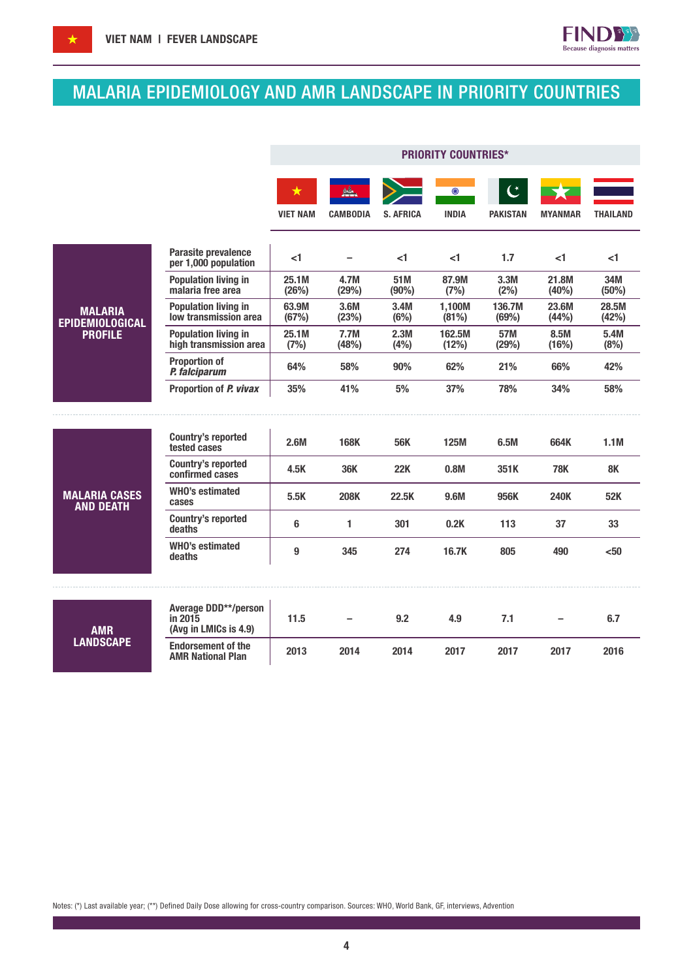

**FIND33** Because diagnosis matters

|                                          |                                                                 | <b>PRIORITY COUNTRIES*</b> |                 |                  |                         |                                   |                |                 |
|------------------------------------------|-----------------------------------------------------------------|----------------------------|-----------------|------------------|-------------------------|-----------------------------------|----------------|-----------------|
|                                          |                                                                 | ★<br><b>VIET NAM</b>       | <b>CAMBODIA</b> | <b>S. AFRICA</b> | $\odot$<br><b>INDIA</b> | $\mathfrak{C}$<br><b>PAKISTAN</b> | <b>MYANMAR</b> | <b>THAILAND</b> |
|                                          | Parasite prevalence<br>per 1,000 population                     | ا>                         |                 | -1               | -1                      | 1.7                               | -1             | <1              |
|                                          | <b>Population living in</b><br>malaria free area                | 25.1M<br>(26%)             | 4.7M<br>(29%)   | 51M<br>(90%)     | 87.9M<br>(7%)           | 3.3M<br>(2%)                      | 21.8M<br>(40%) | 34M<br>(50%)    |
| <b>MALARIA</b><br><b>EPIDEMIOLOGICAL</b> | <b>Population living in</b><br>low transmission area            | 63.9M<br>(67%)             | 3.6M<br>(23%)   | 3.4M<br>(6%)     | 1,100M<br>(81%)         | 136.7M<br>(69%)                   | 23.6M<br>(44%) | 28.5M<br>(42%)  |
| <b>PROFILE</b>                           | <b>Population living in</b><br>high transmission area           | 25.1M<br>(7%)              | 7.7M<br>(48%)   | 2.3M<br>(4%)     | 162.5M<br>(12%)         | 57M<br>(29%)                      | 8.5M<br>(16%)  | 5.4M<br>(8%)    |
|                                          | <b>Proportion of</b><br>P. falciparum                           | 64%                        | 58%             | 90%              | 62%                     | 21%                               | 66%            | 42%             |
|                                          | Proportion of P. vivax                                          | 35%                        | 41%             | 5%               | 37%                     | 78%                               | 34%            | 58%             |
|                                          |                                                                 |                            |                 |                  |                         |                                   |                |                 |
| <b>MALARIA CASES</b><br><b>AND DEATH</b> | <b>Country's reported</b><br>tested cases                       | 2.6M                       | <b>168K</b>     | <b>56K</b>       | <b>125M</b>             | 6.5M                              | 664K           | 1.1M            |
|                                          | <b>Country's reported</b><br>confirmed cases                    | 4.5K                       | 36K             | <b>22K</b>       | 0.8M                    | 351 K                             | <b>78K</b>     | 8K              |
|                                          | <b>WHO's estimated</b><br>cases                                 | 5.5K                       | <b>208K</b>     | 22.5K            | 9.6M                    | 956K                              | <b>240K</b>    | 52K             |
|                                          | <b>Country's reported</b><br>deaths                             | 6                          | 1               | 301              | 0.2K                    | 113                               | 37             | 33              |
|                                          | <b>WHO's estimated</b><br>deaths                                | 9                          | 345             | 274              | 16.7K                   | 805                               | 490            | $50$            |
|                                          |                                                                 |                            |                 |                  |                         |                                   |                |                 |
| <b>AMR</b><br><b>LANDSCAPE</b>           | <b>Average DDD**/person</b><br>in 2015<br>(Avg in LMICs is 4.9) | 11.5                       |                 | 9.2              | 4.9                     | 7.1                               |                | 6.7             |
|                                          | <b>Endorsement of the</b><br><b>AMR National Plan</b>           | 2013                       | 2014            | 2014             | 2017                    | 2017                              | 2017           | 2016            |

Notes: (\*) Last available year; (\*\*) Defined Daily Dose allowing for cross-country comparison. Sources: WHO, World Bank, GF, interviews, Advention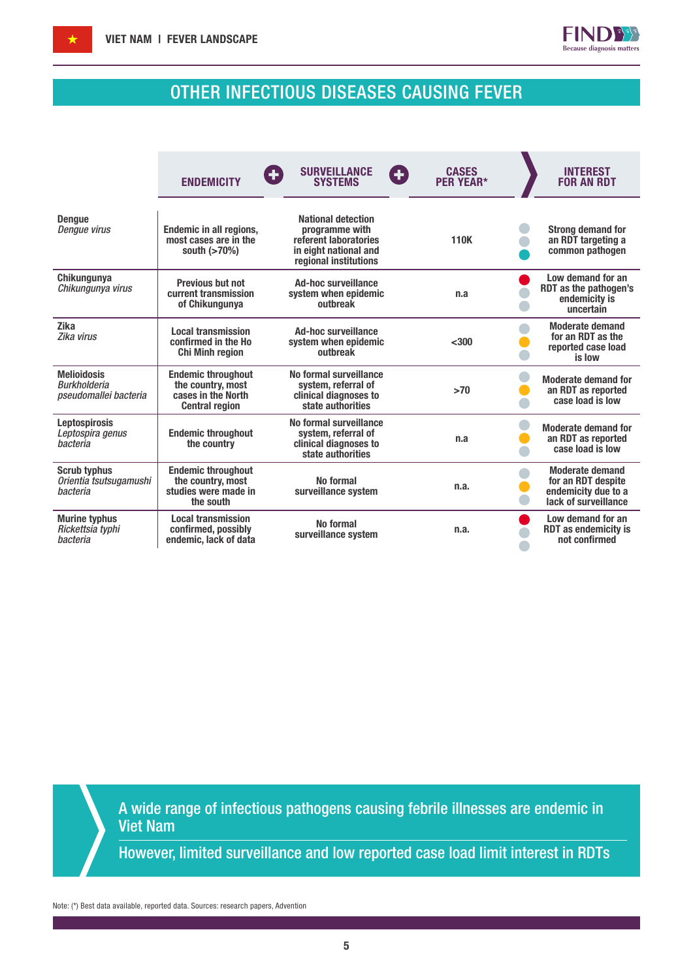

# OTHER INFECTIOUS DISEASES CAUSING FEVER

|                                                                    | <b>ENDEMICITY</b>                                                                             | <b>SURVEILLANCE</b><br>Œ<br><b>SYSTEMS</b>                                                                             | <b>CASES</b><br>Ŧ<br><b>PER YEAR*</b> | <b>INTEREST</b><br><b>FOR AN RDT</b>                                                        |
|--------------------------------------------------------------------|-----------------------------------------------------------------------------------------------|------------------------------------------------------------------------------------------------------------------------|---------------------------------------|---------------------------------------------------------------------------------------------|
| <b>Dengue</b><br><b>Dengue virus</b>                               | Endemic in all regions,<br>most cases are in the<br>south (>70%)                              | <b>National detection</b><br>programme with<br>referent laboratories<br>in eight national and<br>regional institutions | 110K                                  | <b>Strong demand for</b><br>an RDT targeting a<br>common pathogen                           |
| Chikungunya<br>Chikungunya virus                                   | <b>Previous but not</b><br>current transmission<br>of Chikungunya                             | <b>Ad-hoc surveillance</b><br>system when epidemic<br>outbreak                                                         | n.a                                   | Low demand for an<br>RDT as the pathogen's<br>endemicity is<br>uncertain                    |
| <b>Zika</b><br>Zika virus                                          | <b>Local transmission</b><br>confirmed in the Ho<br><b>Chi Minh region</b>                    | <b>Ad-hoc surveillance</b><br>system when epidemic<br>outbreak                                                         | $300$                                 | <b>Moderate demand</b><br>for an RDT as the<br>reported case load<br>is low                 |
| <b>Melioidosis</b><br><b>Burkholderia</b><br>pseudomallei bacteria | <b>Endemic throughout</b><br>the country, most<br>cases in the North<br><b>Central region</b> | No formal surveillance<br>system, referral of<br>clinical diagnoses to<br>state authorities                            | >70                                   | <b>Moderate demand for</b><br>an RDT as reported<br>case load is low                        |
| <b>Leptospirosis</b><br>Leptospira genus<br>hacteria               | <b>Endemic throughout</b><br>the country                                                      | No formal surveillance<br>system, referral of<br>clinical diagnoses to<br>state authorities                            | n.a                                   | <b>Moderate demand for</b><br>an RDT as reported<br>case load is low                        |
| <b>Scrub typhus</b><br>Orientia tsutsugamushi<br>bacteria          | <b>Endemic throughout</b><br>the country, most<br>studies were made in<br>the south           | No formal<br>surveillance system                                                                                       | n.a.                                  | <b>Moderate demand</b><br>for an RDT despite<br>endemicity due to a<br>lack of surveillance |
| <b>Murine typhus</b><br>Rickettsia typhi<br>bacteria               | <b>Local transmission</b><br>confirmed, possibly<br>endemic, lack of data                     | No formal<br>surveillance system                                                                                       | n.a.                                  | Low demand for an<br><b>RDT</b> as endemicity is<br>not confirmed                           |

A wide range of infectious pathogens causing febrile illnesses are endemic in Viet Nam

However, limited surveillance and low reported case load limit interest in RDTs

Note: (\*) Best data available, reported data. Sources: research papers, Advention